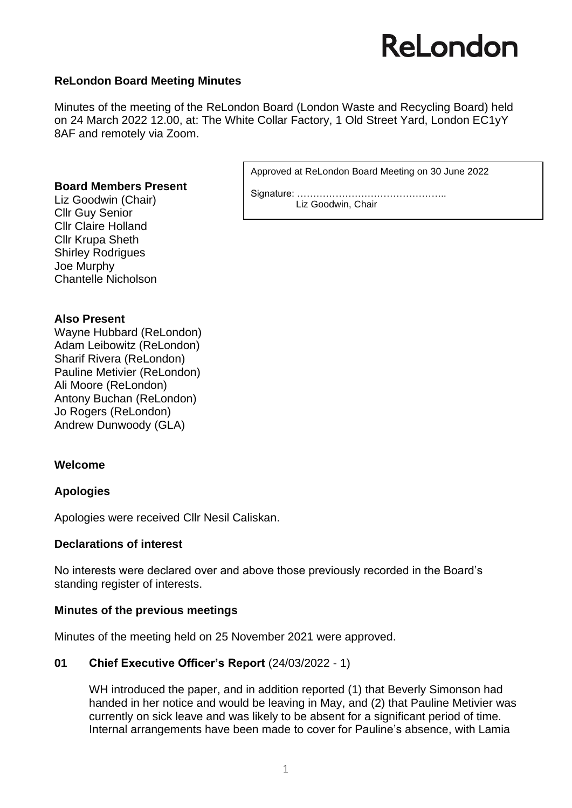# ReLondon

### **ReLondon Board Meeting Minutes**

Minutes of the meeting of the ReLondon Board (London Waste and Recycling Board) held on 24 March 2022 12.00, at: The White Collar Factory, 1 Old Street Yard, London EC1yY 8AF and remotely via Zoom.

#### **Board Members Present**

Liz Goodwin (Chair) Cllr Guy Senior Cllr Claire Holland Cllr Krupa Sheth Shirley Rodrigues Joe Murphy Chantelle Nicholson

### **Also Present**

Wayne Hubbard (ReLondon) Adam Leibowitz (ReLondon) Sharif Rivera (ReLondon) Pauline Metivier (ReLondon) Ali Moore (ReLondon) Antony Buchan (ReLondon) Jo Rogers (ReLondon) Andrew Dunwoody (GLA)

### **Welcome**

### **Apologies**

Apologies were received Cllr Nesil Caliskan.

### **Declarations of interest**

No interests were declared over and above those previously recorded in the Board's standing register of interests.

### **Minutes of the previous meetings**

Minutes of the meeting held on 25 November 2021 were approved.

### **01 Chief Executive Officer's Report** (24/03/2022 - 1)

WH introduced the paper, and in addition reported (1) that Beverly Simonson had handed in her notice and would be leaving in May, and (2) that Pauline Metivier was currently on sick leave and was likely to be absent for a significant period of time. Internal arrangements have been made to cover for Pauline's absence, with Lamia

Approved at ReLondon Board Meeting on 30 June 2022

Signature: ……………………………………….. Liz Goodwin, Chair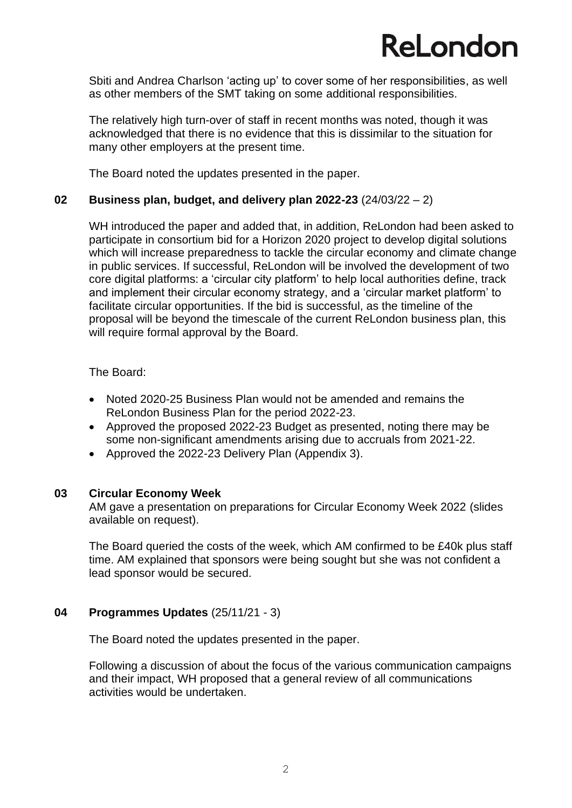# **ReLondon**

Sbiti and Andrea Charlson 'acting up' to cover some of her responsibilities, as well as other members of the SMT taking on some additional responsibilities.

The relatively high turn-over of staff in recent months was noted, though it was acknowledged that there is no evidence that this is dissimilar to the situation for many other employers at the present time.

The Board noted the updates presented in the paper.

### **02 Business plan, budget, and delivery plan 2022-23** (24/03/22 – 2)

WH introduced the paper and added that, in addition, ReLondon had been asked to participate in consortium bid for a Horizon 2020 project to develop digital solutions which will increase preparedness to tackle the circular economy and climate change in public services. If successful, ReLondon will be involved the development of two core digital platforms: a 'circular city platform' to help local authorities define, track and implement their circular economy strategy, and a 'circular market platform' to facilitate circular opportunities. If the bid is successful, as the timeline of the proposal will be beyond the timescale of the current ReLondon business plan, this will require formal approval by the Board.

The Board:

- Noted 2020-25 Business Plan would not be amended and remains the ReLondon Business Plan for the period 2022-23.
- Approved the proposed 2022-23 Budget as presented, noting there may be some non-significant amendments arising due to accruals from 2021-22.
- Approved the 2022-23 Delivery Plan (Appendix 3).

### **03 Circular Economy Week**

AM gave a presentation on preparations for Circular Economy Week 2022 (slides available on request).

The Board queried the costs of the week, which AM confirmed to be £40k plus staff time. AM explained that sponsors were being sought but she was not confident a lead sponsor would be secured.

### **04 Programmes Updates** (25/11/21 - 3)

The Board noted the updates presented in the paper.

Following a discussion of about the focus of the various communication campaigns and their impact, WH proposed that a general review of all communications activities would be undertaken.